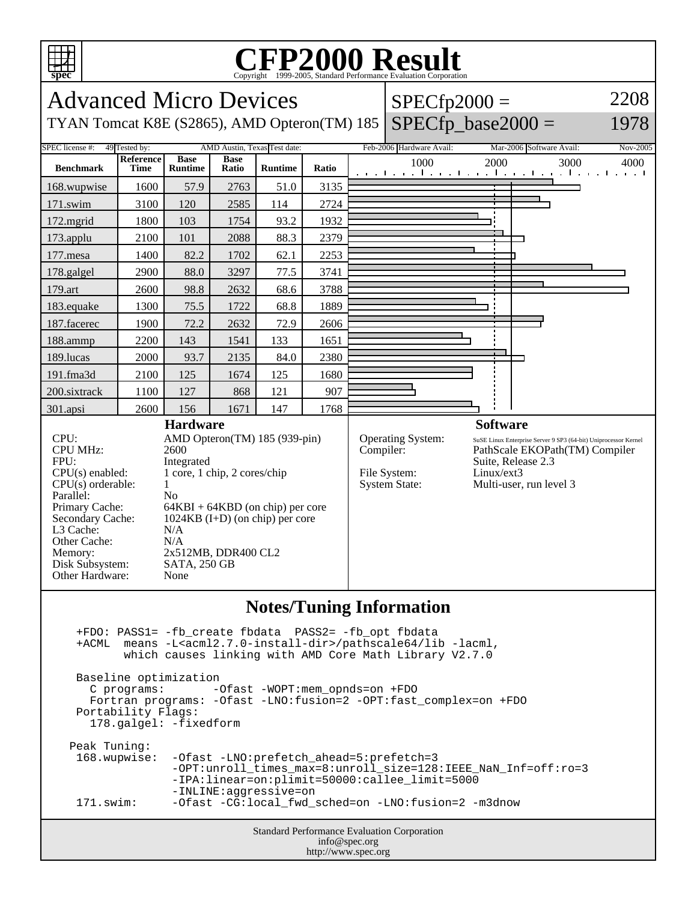

## C<sub>opyright</sub> ©1999-2005, Standard Performance Evaluation Corporation

| 5.5<br>Copyright @1999-2009, Dianuaru i criormance Evanuation Corporation<br>2208                                                                                                                                                                                                                                                                                                                                  |                                   |                        |             |                              |       |  |                                                   |                 |                                                                                 |                  |  |
|--------------------------------------------------------------------------------------------------------------------------------------------------------------------------------------------------------------------------------------------------------------------------------------------------------------------------------------------------------------------------------------------------------------------|-----------------------------------|------------------------|-------------|------------------------------|-------|--|---------------------------------------------------|-----------------|---------------------------------------------------------------------------------|------------------|--|
| <b>Advanced Micro Devices</b><br>$SPECfp2000 =$                                                                                                                                                                                                                                                                                                                                                                    |                                   |                        |             |                              |       |  |                                                   |                 |                                                                                 |                  |  |
| $SPECfp\_base2000 =$<br>1978<br>TYAN Tomcat K8E (S2865), AMD Opteron(TM) 185                                                                                                                                                                                                                                                                                                                                       |                                   |                        |             |                              |       |  |                                                   |                 |                                                                                 |                  |  |
| SPEC license #:                                                                                                                                                                                                                                                                                                                                                                                                    | 49 Tested by:<br><b>Reference</b> | <b>Base</b>            | <b>Base</b> | AMD Austin, Texas Test date: |       |  | Feb-2006 Hardware Avail:<br>1000                  | 2000            | Mar-2006 Software Avail:<br>3000                                                | Nov-2005<br>4000 |  |
| <b>Benchmark</b>                                                                                                                                                                                                                                                                                                                                                                                                   | Time                              | <b>Runtime</b>         | Ratio       | <b>Runtime</b>               | Ratio |  |                                                   |                 | المتعملة وبالمتعمل والمتعمل والمتعمل وعمرا وتعمل ويعت                           |                  |  |
| 168.wupwise                                                                                                                                                                                                                                                                                                                                                                                                        | 1600                              | 57.9                   | 2763        | 51.0                         | 3135  |  |                                                   |                 |                                                                                 |                  |  |
| 171.swim                                                                                                                                                                                                                                                                                                                                                                                                           | 3100                              | 120                    | 2585        | 114                          | 2724  |  |                                                   |                 |                                                                                 |                  |  |
| 172.mgrid                                                                                                                                                                                                                                                                                                                                                                                                          | 1800                              | 103                    | 1754        | 93.2                         | 1932  |  |                                                   |                 |                                                                                 |                  |  |
| 173.applu                                                                                                                                                                                                                                                                                                                                                                                                          | 2100                              | 101                    | 2088        | 88.3                         | 2379  |  |                                                   |                 |                                                                                 |                  |  |
| 177.mesa                                                                                                                                                                                                                                                                                                                                                                                                           | 1400                              | 82.2                   | 1702        | 62.1                         | 2253  |  |                                                   |                 |                                                                                 |                  |  |
| 178.galgel                                                                                                                                                                                                                                                                                                                                                                                                         | 2900                              | 88.0                   | 3297        | 77.5                         | 3741  |  |                                                   |                 |                                                                                 |                  |  |
| 179.art                                                                                                                                                                                                                                                                                                                                                                                                            | 2600                              | 98.8                   | 2632        | 68.6                         | 3788  |  |                                                   |                 |                                                                                 |                  |  |
| 183.equake                                                                                                                                                                                                                                                                                                                                                                                                         | 1300                              | 75.5                   | 1722        | 68.8                         | 1889  |  |                                                   |                 |                                                                                 |                  |  |
| 187.facerec                                                                                                                                                                                                                                                                                                                                                                                                        | 1900                              | 72.2                   | 2632        | 72.9                         | 2606  |  |                                                   |                 |                                                                                 |                  |  |
| 188.ammp                                                                                                                                                                                                                                                                                                                                                                                                           | 2200                              | 143                    | 1541        | 133                          | 1651  |  |                                                   |                 |                                                                                 |                  |  |
| 189.lucas                                                                                                                                                                                                                                                                                                                                                                                                          | 2000                              | 93.7                   | 2135        | 84.0                         | 2380  |  |                                                   |                 |                                                                                 |                  |  |
| 191.fma3d                                                                                                                                                                                                                                                                                                                                                                                                          | 2100                              | 125                    | 1674        | 125                          | 1680  |  |                                                   |                 |                                                                                 |                  |  |
| 200.sixtrack                                                                                                                                                                                                                                                                                                                                                                                                       | 1100                              | 127                    | 868         | 121                          | 907   |  |                                                   |                 |                                                                                 |                  |  |
| 301.apsi                                                                                                                                                                                                                                                                                                                                                                                                           | 2600                              | 156<br><b>Hardware</b> | 1671        | 147                          | 1768  |  |                                                   | <b>Software</b> |                                                                                 |                  |  |
| <b>CPU MHz:</b><br>2600<br>FPU:<br>Integrated<br>1 core, 1 chip, 2 cores/chip<br>$CPU(s)$ enabled:<br>$CPU(s)$ orderable:<br>1<br>Parallel:<br>No<br>Primary Cache:<br>64KBI + 64KBD (on chip) per core<br>$1024KB$ (I+D) (on chip) per core<br>Secondary Cache:<br>L3 Cache:<br>N/A<br>Other Cache:<br>N/A<br>Memory:<br>2x512MB, DDR400 CL2<br>Disk Subsystem:<br><b>SATA, 250 GB</b><br>Other Hardware:<br>None |                                   |                        |             |                              |       |  | Compiler:<br>File System:<br><b>System State:</b> | Linux/ext3      | PathScale EKOPath(TM) Compiler<br>Suite, Release 2.3<br>Multi-user, run level 3 |                  |  |
|                                                                                                                                                                                                                                                                                                                                                                                                                    |                                   |                        |             |                              |       |  | <b>Notes/Tuning Information</b>                   |                 |                                                                                 |                  |  |
| +FDO: PASS1= -fb_create fbdata PASS2= -fb_opt fbdata<br>means -L <acml2.7.0-install-dir>/pathscale64/lib -lacml,<br/>+ACML<br/>which causes linking with AMD Core Math Library V2.7.0</acml2.7.0-install-dir>                                                                                                                                                                                                      |                                   |                        |             |                              |       |  |                                                   |                 |                                                                                 |                  |  |
| Baseline optimization<br>C programs:<br>-Ofast -WOPT:mem_opnds=on +FDO<br>Fortran programs: - Ofast - LNO: fusion=2 - OPT: fast_complex=on + FDO<br>Portability Flags:<br>178.galgel: -fixedform                                                                                                                                                                                                                   |                                   |                        |             |                              |       |  |                                                   |                 |                                                                                 |                  |  |
| Peak Tuning:<br>168.wupwise:<br>-Ofast -LNO: prefetch_ahead=5: prefetch=3<br>-OPT:unroll_times_max=8:unroll_size=128:IEEE_NaN_Inf=off:ro=3<br>-IPA:linear=on:plimit=50000:callee_limit=5000<br>-INLINE:aggressive=on<br>-Ofast -CG:local_fwd_sched=on -LNO:fusion=2 -m3dnow<br>171.swim:                                                                                                                           |                                   |                        |             |                              |       |  |                                                   |                 |                                                                                 |                  |  |
|                                                                                                                                                                                                                                                                                                                                                                                                                    |                                   |                        |             |                              |       |  |                                                   |                 |                                                                                 |                  |  |
| Standard Performance Evaluation Corporation<br>info@spec.org<br>http://www.spec.org                                                                                                                                                                                                                                                                                                                                |                                   |                        |             |                              |       |  |                                                   |                 |                                                                                 |                  |  |